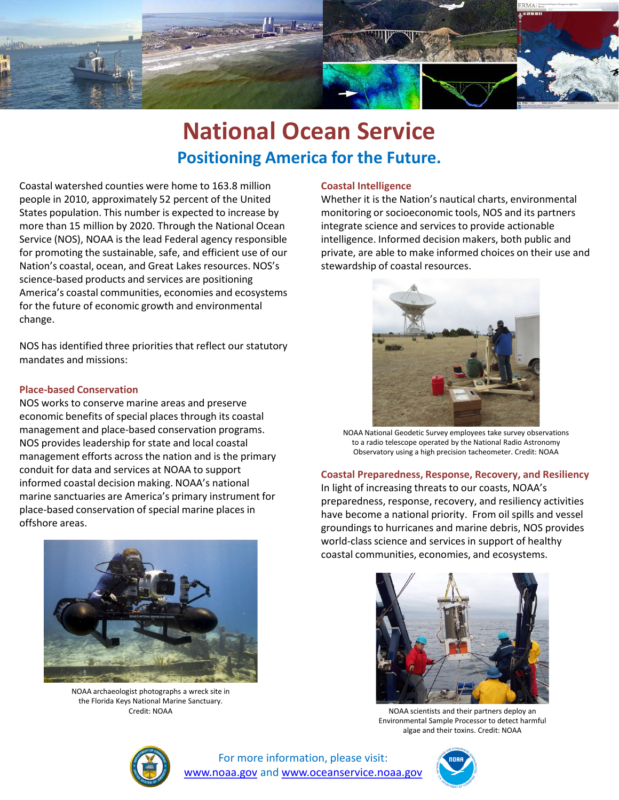

## **National Ocean Service Positioning America for the Future.**

Coastal watershed counties were home to 163.8 million people in 2010, approximately 52 percent of the United States population. This number is expected to increase by more than 15 million by 2020. Through the National Ocean Service (NOS), NOAA is the lead Federal agency responsible for promoting the sustainable, safe, and efficient use of our Nation's coastal, ocean, and Great Lakes resources. NOS's science-based products and services are positioning America's coastal communities, economies and ecosystems for the future of economic growth and environmental change.

NOS has identified three priorities that reflect our statutory mandates and missions:

### **Place-based Conservation**

NOS works to conserve marine areas and preserve economic benefits of special places through its coastal management and place-based conservation programs. NOS provides leadership for state and local coastal management efforts across the nation and is the primary conduit for data and services at NOAA to support informed coastal decision making. NOAA's national marine sanctuaries are America's primary instrument for place-based conservation of special marine places in offshore areas.



NOAA archaeologist photographs a wreck site in the Florida Keys National Marine Sanctuary.

### **Coastal Intelligence**

Whether it is the Nation's nautical charts, environmental monitoring or socioeconomic tools, NOS and its partners integrate science and services to provide actionable intelligence. Informed decision makers, both public and private, are able to make informed choices on their use and stewardship of coastal resources.



NOAA National Geodetic Survey employees take survey observations to a radio telescope operated by the National Radio Astronomy Observatory using a high precision tacheometer. Credit: NOAA

### **Coastal Preparedness, Response, Recovery, and Resiliency**

In light of increasing threats to our coasts, NOAA's preparedness, response, recovery, and resiliency activities have become a national priority. From oil spills and vessel groundings to hurricanes and marine debris, NOS provides world-class science and services in support of healthy coastal communities, economies, and ecosystems.



Credit: NOAA NOAA Scientists and their partners deploy an NOAA scientists and their partners deploy an Environmental Sample Processor to detect harmful algae and their toxins. Credit: NOAA



For more information, please visit: [www.noaa.gov](http://www.noaa.gov/) and [www.oceanservice.noaa.gov](http://www.oceanservice.noaa.gov/)